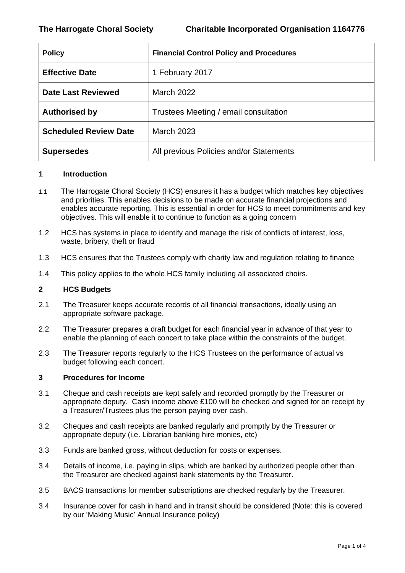| <b>Policy</b>                | <b>Financial Control Policy and Procedures</b> |
|------------------------------|------------------------------------------------|
| <b>Effective Date</b>        | 1 February 2017                                |
| <b>Date Last Reviewed</b>    | <b>March 2022</b>                              |
| <b>Authorised by</b>         | Trustees Meeting / email consultation          |
| <b>Scheduled Review Date</b> | <b>March 2023</b>                              |
| <b>Supersedes</b>            | All previous Policies and/or Statements        |

#### **1 Introduction**

- 1.1 The Harrogate Choral Society (HCS) ensures it has a budget which matches key objectives and priorities. This enables decisions to be made on accurate financial projections and enables accurate reporting. This is essential in order for HCS to meet commitments and key objectives. This will enable it to continue to function as a going concern
- 1.2 HCS has systems in place to identify and manage the risk of conflicts of interest, loss, waste, bribery, theft or fraud
- 1.3 HCS ensures that the Trustees comply with charity law and regulation relating to finance
- 1.4 This policy applies to the whole HCS family including all associated choirs.

#### **2 HCS Budgets**

- 2.1 The Treasurer keeps accurate records of all financial transactions, ideally using an appropriate software package.
- 2.2 The Treasurer prepares a draft budget for each financial year in advance of that year to enable the planning of each concert to take place within the constraints of the budget.
- 2.3 The Treasurer reports regularly to the HCS Trustees on the performance of actual vs budget following each concert.

# **3 Procedures for Income**

- 3.1 Cheque and cash receipts are kept safely and recorded promptly by the Treasurer or appropriate deputy. Cash income above £100 will be checked and signed for on receipt by a Treasurer/Trustees plus the person paying over cash.
- 3.2 Cheques and cash receipts are banked regularly and promptly by the Treasurer or appropriate deputy (i.e. Librarian banking hire monies, etc)
- 3.3 Funds are banked gross, without deduction for costs or expenses.
- 3.4 Details of income, i.e. paying in slips, which are banked by authorized people other than the Treasurer are checked against bank statements by the Treasurer.
- 3.5 BACS transactions for member subscriptions are checked regularly by the Treasurer.
- 3.4 Insurance cover for cash in hand and in transit should be considered (Note: this is covered by our 'Making Music' Annual Insurance policy)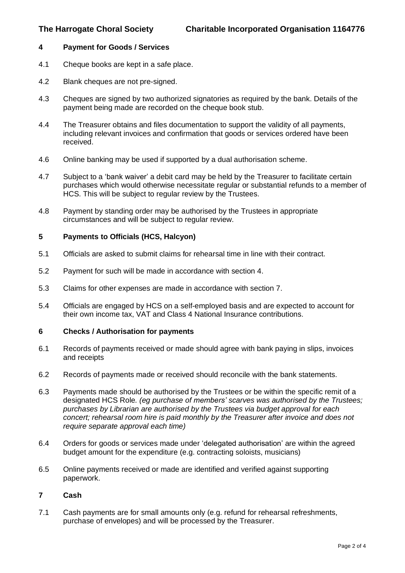### **4 Payment for Goods / Services**

- 4.1 Cheque books are kept in a safe place.
- 4.2 Blank cheques are not pre-signed.
- 4.3 Cheques are signed by two authorized signatories as required by the bank. Details of the payment being made are recorded on the cheque book stub.
- 4.4 The Treasurer obtains and files documentation to support the validity of all payments, including relevant invoices and confirmation that goods or services ordered have been received.
- 4.6 Online banking may be used if supported by a dual authorisation scheme.
- 4.7 Subject to a 'bank waiver' a debit card may be held by the Treasurer to facilitate certain purchases which would otherwise necessitate regular or substantial refunds to a member of HCS. This will be subject to regular review by the Trustees.
- 4.8 Payment by standing order may be authorised by the Trustees in appropriate circumstances and will be subject to regular review.

# **5 Payments to Officials (HCS, Halcyon)**

- 5.1 Officials are asked to submit claims for rehearsal time in line with their contract.
- 5.2 Payment for such will be made in accordance with section 4.
- 5.3 Claims for other expenses are made in accordance with section 7.
- 5.4 Officials are engaged by HCS on a self-employed basis and are expected to account for their own income tax, VAT and Class 4 National Insurance contributions.

### **6 Checks / Authorisation for payments**

- 6.1 Records of payments received or made should agree with bank paying in slips, invoices and receipts
- 6.2 Records of payments made or received should reconcile with the bank statements.
- 6.3 Payments made should be authorised by the Trustees or be within the specific remit of a designated HCS Role*. (eg purchase of members' scarves was authorised by the Trustees; purchases by Librarian are authorised by the Trustees via budget approval for each concert; rehearsal room hire is paid monthly by the Treasurer after invoice and does not require separate approval each time)*
- 6.4 Orders for goods or services made under 'delegated authorisation' are within the agreed budget amount for the expenditure (e.g. contracting soloists, musicians)
- 6.5 Online payments received or made are identified and verified against supporting paperwork.

# **7 Cash**

7.1 Cash payments are for small amounts only (e.g. refund for rehearsal refreshments, purchase of envelopes) and will be processed by the Treasurer.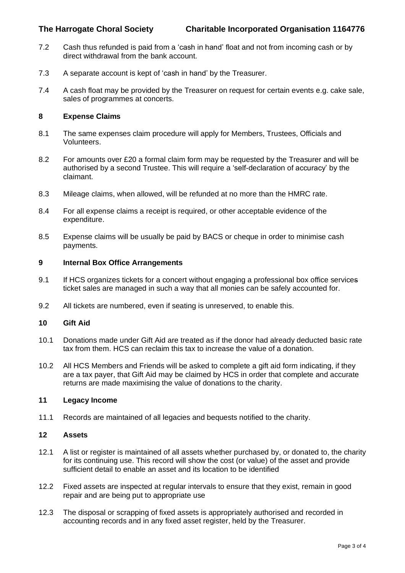- 7.2 Cash thus refunded is paid from a 'cash in hand' float and not from incoming cash or by direct withdrawal from the bank account.
- 7.3 A separate account is kept of 'cash in hand' by the Treasurer.
- 7.4 A cash float may be provided by the Treasurer on request for certain events e.g. cake sale, sales of programmes at concerts.

## **8 Expense Claims**

- 8.1 The same expenses claim procedure will apply for Members, Trustees, Officials and Volunteers.
- 8.2 For amounts over £20 a formal claim form may be requested by the Treasurer and will be authorised by a second Trustee. This will require a 'self-declaration of accuracy' by the claimant.
- 8.3 Mileage claims, when allowed, will be refunded at no more than the HMRC rate.
- 8.4 For all expense claims a receipt is required, or other acceptable evidence of the expenditure.
- 8.5 Expense claims will be usually be paid by BACS or cheque in order to minimise cash payments.

### **9 Internal Box Office Arrangements**

- 9.1 If HCS organizes tickets for a concert without engaging a professional box office services ticket sales are managed in such a way that all monies can be safely accounted for.
- 9.2 All tickets are numbered, even if seating is unreserved, to enable this.

#### **10 Gift Aid**

- 10.1 Donations made under Gift Aid are treated as if the donor had already deducted basic rate tax from them. HCS can reclaim this tax to increase the value of a donation.
- 10.2 All HCS Members and Friends will be asked to complete a gift aid form indicating, if they are a tax payer, that Gift Aid may be claimed by HCS in order that complete and accurate returns are made maximising the value of donations to the charity.

# **11 Legacy Income**

11.1 Records are maintained of all legacies and bequests notified to the charity.

# **12 Assets**

- 12.1 A list or register is maintained of all assets whether purchased by, or donated to, the charity for its continuing use. This record will show the cost (or value) of the asset and provide sufficient detail to enable an asset and its location to be identified
- 12.2 Fixed assets are inspected at regular intervals to ensure that they exist, remain in good repair and are being put to appropriate use
- 12.3 The disposal or scrapping of fixed assets is appropriately authorised and recorded in accounting records and in any fixed asset register, held by the Treasurer.